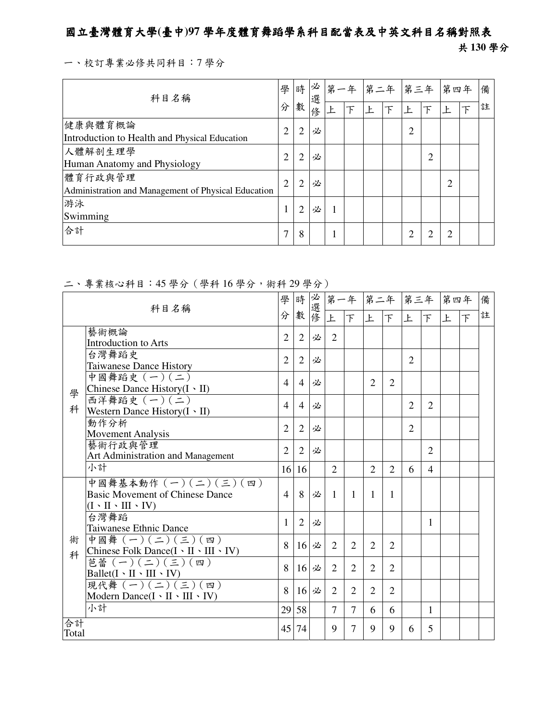## 國立臺灣體育大學**(**臺中**)97** 學年度體育舞蹈學系科目配當表及中英文科目名稱對照表

## 共 **130** 學分

一、校訂專業必修共同科目:7 學分

| 科目名稱                                                           | 學              |                | 時必<br>選 | 第一年 |   | 第二年 | 第三年            |                | 第四年 |   | 備 |
|----------------------------------------------------------------|----------------|----------------|---------|-----|---|-----|----------------|----------------|-----|---|---|
|                                                                | 分              | 數              | 俢       |     | 下 | Ł   | 上              | $\mathcal{F}$  |     | 下 | 註 |
| 健康與體育概論<br>Introduction to Health and Physical Education       | $\overline{2}$ | $\overline{2}$ | 必       |     |   |     | $\overline{2}$ |                |     |   |   |
| 人體解剖生理學<br>Human Anatomy and Physiology                        | 2              | 2              | 必       |     |   |     |                | $\overline{2}$ |     |   |   |
| 體育行政與管理<br>Administration and Management of Physical Education | $\overline{2}$ | $\overline{2}$ | 必       |     |   |     |                |                | 2   |   |   |
| 游泳<br>Swimming                                                 |                | $\overline{2}$ | 必       |     |   |     |                |                |     |   |   |
| 合計                                                             |                | 8              |         |     |   |     | $\overline{2}$ | ◠              |     |   |   |

## 二、專業核心科目:45 學分(學科 16 學分,術科 29 學分)

| 科目名稱        |                                                                                                     | 學<br>分         | 時<br>數         | 必選修 |                |                |                |                | 第一年 第二年 第三年 第四年 |                             |   |                | 備 |
|-------------|-----------------------------------------------------------------------------------------------------|----------------|----------------|-----|----------------|----------------|----------------|----------------|-----------------|-----------------------------|---|----------------|---|
|             |                                                                                                     |                |                |     | 上              | F              | 上              | 下              | 上               | 下                           | 上 | $\overline{F}$ | 註 |
|             | 藝術概論<br><b>Introduction to Arts</b>                                                                 | $\overline{2}$ | $\overline{2}$ | 必   | $\overline{2}$ |                |                |                |                 |                             |   |                |   |
|             | 台灣舞蹈史<br><b>Taiwanese Dance History</b>                                                             | $\overline{2}$ | $\overline{2}$ | 必   |                |                |                |                | $\overline{2}$  |                             |   |                |   |
|             | 中國舞蹈史 (一)(二)<br>Chinese Dance History(I · II)                                                       | $\overline{4}$ | $\overline{4}$ | 必   |                |                | $\overline{2}$ | $\overline{2}$ |                 |                             |   |                |   |
| 學<br>科      | 西洋舞蹈史 (一)(二)<br>Western Dance History $(I \cdot II)$                                                | $\overline{4}$ | 4              | 必   |                |                |                |                | $\overline{2}$  | $\overline{2}$              |   |                |   |
|             | 動作分析<br><b>Movement Analysis</b>                                                                    | $\overline{2}$ | $\overline{2}$ | 必   |                |                |                |                | $\overline{2}$  |                             |   |                |   |
|             | 藝術行政與管理<br>Art Administration and Management                                                        | $\overline{2}$ | 2              | 必   |                |                |                |                |                 | $\mathcal{D}_{\mathcal{L}}$ |   |                |   |
|             | 小計                                                                                                  | 16             | 16             |     | $\overline{2}$ |                | $\overline{2}$ | $\overline{2}$ | 6               | $\overline{4}$              |   |                |   |
|             | 中國舞基本動作 (一)(二)(三)(四)<br><b>Basic Movement of Chinese Dance</b><br>$(I \cdot II \cdot III \cdot IV)$ | $\overline{4}$ | 8              | 必   | $\mathbf{1}$   | 1              | $\mathbf{1}$   | 1              |                 |                             |   |                |   |
|             | 台灣舞蹈<br>Taiwanese Ethnic Dance                                                                      | 1              | $\overline{2}$ | 必   |                |                |                |                |                 | 1                           |   |                |   |
| 術<br>科      | 中國舞 (一)(二)(三)(四)<br>Chinese Folk Dance( $I \cdot II \cdot III \cdot IV$ )                           | 8              | 16             | 必   | 2              | $\overline{2}$ | $\overline{2}$ | 2              |                 |                             |   |                |   |
|             | 芭蕾 $(-)(\leq)(\leq)(\Xi)$<br>$Ballet(I \cdot II \cdot III \cdot IV)$                                | 8              | 16             | 必   | $\overline{2}$ | $\overline{2}$ | 2              | $\overline{2}$ |                 |                             |   |                |   |
|             | 現代舞 (一) (二) (三) (四)<br>Modern Dance $(I \cdot II \cdot III \cdot IV)$                               | 8              | 16             | 必   | $\overline{2}$ | $\overline{2}$ | $\overline{2}$ | $\overline{2}$ |                 |                             |   |                |   |
|             | 小計                                                                                                  | 29             | 58             |     | $\overline{7}$ | $\overline{7}$ | 6              | 6              |                 | $\mathbf{1}$                |   |                |   |
| 合計<br>Total |                                                                                                     |                | 45<br>74       |     | 9              | 7              | 9              | 9              | 6               | 5                           |   |                |   |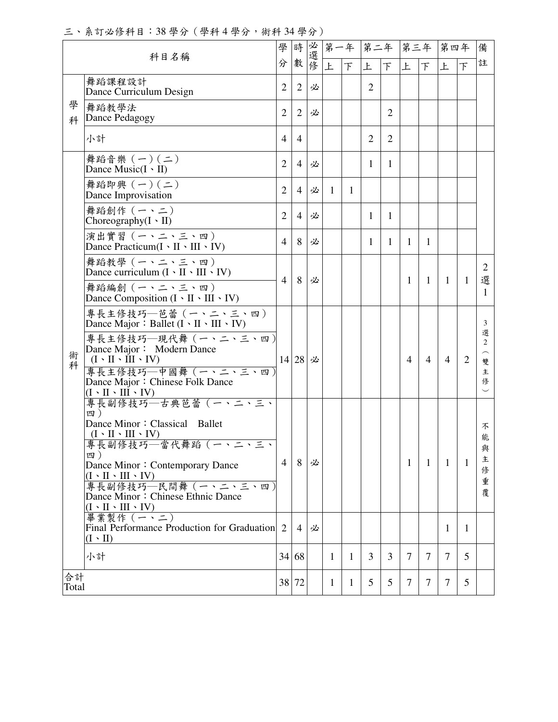三、系訂必修科目:38 學分(學科 4 學分,術科 34 學分)

| 科目名稱   |                                                                                               | 學              | 時              | 必選修 | 第一年            |              | 第二年            |                | 第三年            |                | 第四年            |                | 備                        |
|--------|-----------------------------------------------------------------------------------------------|----------------|----------------|-----|----------------|--------------|----------------|----------------|----------------|----------------|----------------|----------------|--------------------------|
|        |                                                                                               | 分              | 數              |     | 上              | 下            | 上              | 下              | 上              | 下              | 上              |                | 註                        |
|        | 舞蹈課程設計<br>Dance Curriculum Design                                                             | $\overline{2}$ | $\overline{2}$ | 必   |                |              | $\overline{2}$ |                |                |                |                |                |                          |
| 學<br>科 | 舞蹈教學法<br>Dance Pedagogy                                                                       | 2              | $\overline{2}$ | 必   |                |              |                | $\overline{2}$ |                |                |                |                |                          |
|        | 小計                                                                                            | $\overline{4}$ | $\overline{4}$ |     |                |              | 2              | 2              |                |                |                |                |                          |
|        | 舞蹈音樂 (一)(二)<br>Dance Music $(I \cdot II)$                                                     | $\overline{2}$ | $\overline{4}$ | 必   |                |              | 1              | $\mathbf{1}$   |                |                |                |                |                          |
|        | 舞蹈即興 (一)(二)<br>Dance Improvisation                                                            | $\overline{2}$ | $\overline{4}$ | 必   | $\overline{1}$ | $\mathbf{1}$ |                |                |                |                |                |                |                          |
|        | 舞蹈創作 (一、二)<br>Choreography $(I \cdot II)$                                                     | $\overline{2}$ | $\overline{4}$ | 必   |                |              | 1              | 1              |                |                |                |                |                          |
|        | 演出實習 (一、二、三、四)<br>Dance Practicum $(I \cdot II \cdot III \cdot IV)$                           | 4              | 8              | 必   |                |              | 1              | $\mathbf{1}$   | $\mathbf{1}$   | 1              |                |                |                          |
|        | 舞蹈教學 (一、二、三、四)<br>Dance curriculum $(I \cdot II \cdot III \cdot IV)$                          | 4              | 8              | 必   |                |              |                |                | $\mathbf{1}$   | $\mathbf{1}$   | $\overline{1}$ | $\mathbf{1}$   | 2<br>選                   |
|        | 舞蹈編創 (一、二、三、四)<br>Dance Composition $(I \cdot II \cdot III \cdot IV)$                         |                |                |     |                |              |                |                |                |                |                |                | 1                        |
|        | 專長主修技巧––芭蕾 (一、二、三、四)<br>Dance Major: Ballet $(I \cdot II \cdot III \cdot IV)$                 |                |                |     |                |              |                |                |                |                |                |                | 3                        |
| 術<br>科 | 專長主修技巧–現代舞 (一、二、三、四)<br>Dance Major: Modern Dance<br>$(I \cdot II \cdot III \cdot IV)$        | 14 28          |                | 必   |                |              |                |                | $\overline{4}$ | $\overline{4}$ | 4              | $\overline{2}$ | 選<br>$\overline{2}$<br>雙 |
|        | 專長主修技巧–中國舞 (一、二、三、四)<br>Dance Major: Chinese Folk Dance<br>$(I \cdot II \cdot III \cdot IV)$  |                |                |     |                |              |                |                |                |                |                |                | 主<br>俢                   |
|        | 專長副修技巧–古典芭蕾 (一、二、三、<br>四)<br>Dance Minor: Classical Ballet                                    |                |                |     |                |              |                |                |                |                |                |                |                          |
|        | $(I \cdot II \cdot III \cdot IV)$<br>專長副修技巧—當代舞蹈(一、二、三、                                       |                |                |     |                |              |                |                |                |                |                |                | 不<br>能                   |
|        | 四)<br>Dance Minor: Contemporary Dance<br>$(I \cdot II \cdot III \cdot IV)$                    | 4              | 8              | 必   |                |              |                |                | $\mathbf{1}$   | 1              | $\mathbf{1}$   | 1              | 與<br>主<br>俢              |
|        | 專長副修技巧─民間舞(一、二、三、四)<br>Dance Minor: Chinese Ethnic Dance<br>$(I \cdot II \cdot III \cdot IV)$ |                |                |     |                |              |                |                |                |                |                |                | 重<br>覆                   |
|        | 畢業製作 (一、二)<br>Final Performance Production for Graduation 2<br>$(I \cdot II)$                 |                | $\overline{4}$ | 必   |                |              |                |                |                |                | 1              | 1              |                          |
|        | 小計                                                                                            |                | 34 68          |     | 1              | $\mathbf{1}$ | 3              | 3              | $\overline{7}$ | 7              | 7              | 5              |                          |
|        | 合計<br>38 72<br>Total                                                                          |                |                |     | 1              | $\mathbf{1}$ | 5              | 5              | $\overline{7}$ | 7              | 7              | 5              |                          |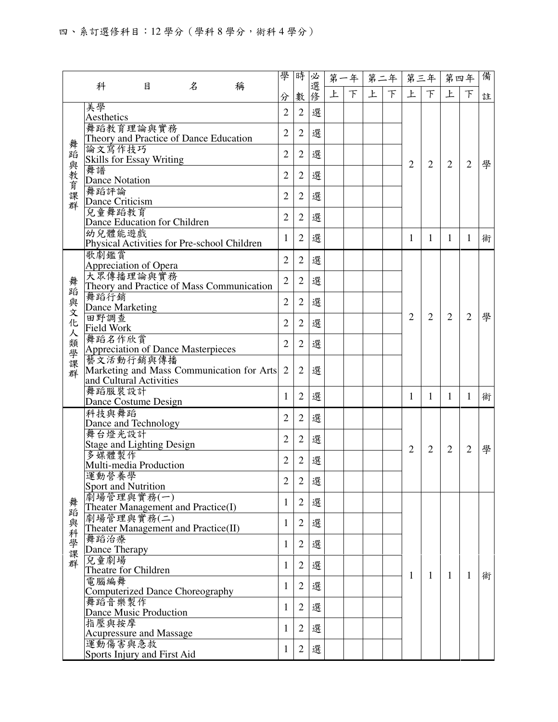|         |                                                     |                                                  |                | 學                                           | 時              |                | 第一年 |   | 第二年            |                | 第三年            |                | 第四年            |                | 備              |   |
|---------|-----------------------------------------------------|--------------------------------------------------|----------------|---------------------------------------------|----------------|----------------|-----|---|----------------|----------------|----------------|----------------|----------------|----------------|----------------|---|
|         | 科                                                   | 目                                                | 名              | 稱                                           | 分              | 數              | 必選修 | 上 | 下              | 上              | $\top$         | 上              | $\top$         | 上              | $\top$         | 註 |
|         | 美學                                                  |                                                  |                |                                             | $\overline{2}$ | $\overline{2}$ | 選   |   |                |                |                |                |                |                |                |   |
|         | Aesthetics                                          | $\overline{2}$                                   | $\overline{2}$ |                                             |                |                |     |   |                |                |                |                |                |                |                |   |
|         | 舞蹈教育理論與實務<br>Theory and Practice of Dance Education |                                                  |                |                                             |                |                | 選   |   |                |                |                |                |                |                |                |   |
|         | 論文寫作技巧                                              |                                                  |                |                                             |                |                | 選   |   |                |                |                |                |                |                |                |   |
|         | <b>Skills for Essay Writing</b>                     | $\overline{2}$                                   | $\overline{2}$ |                                             |                |                |     |   | $\overline{2}$ | $\overline{2}$ | $\overline{2}$ | $\overline{2}$ | 學              |                |                |   |
| 舞蹈與教育課群 | 舞譜                                                  | <b>Dance Notation</b>                            | $\overline{2}$ | $\overline{2}$                              | 選              |                |     |   |                |                |                |                |                |                |                |   |
|         | 舞蹈評論                                                |                                                  |                |                                             |                |                |     |   |                |                |                |                |                |                |                |   |
|         |                                                     | Dance Criticism                                  | $\overline{2}$ | $\overline{2}$                              | 選              |                |     |   |                |                |                |                |                |                |                |   |
|         | 兒童舞蹈教育                                              |                                                  |                |                                             | $\overline{2}$ | $\overline{2}$ | 選   |   |                |                |                |                |                |                |                |   |
|         | 幼兒體能遊戲                                              | Dance Education for Children                     |                |                                             |                |                |     |   |                |                |                |                |                |                |                |   |
|         | Physical Activities for Pre-school Children         | 1                                                | $\overline{2}$ | 選                                           |                |                |     |   | 1              | 1              | 1              | $\mathbf{1}$   | 術              |                |                |   |
|         | 歌劇鑑賞                                                |                                                  |                |                                             | $\overline{2}$ | $\overline{2}$ | 選   |   |                |                |                |                |                |                |                |   |
|         |                                                     | Appreciation of Opera                            |                |                                             |                |                |     |   |                |                |                |                |                |                |                |   |
|         |                                                     | 大眾傳播理論與實務                                        |                | Theory and Practice of Mass Communication   | $\overline{2}$ | $\overline{2}$ | 選   |   |                |                |                |                |                |                |                |   |
| 舞蹈與文    | 舞蹈行銷                                                |                                                  |                |                                             |                |                |     |   |                |                |                |                |                |                |                |   |
|         |                                                     | Dance Marketing                                  |                |                                             | $\overline{2}$ | $\overline{2}$ | 選   |   |                |                |                |                | $\overline{2}$ |                |                |   |
| 化       | 田野調查                                                |                                                  |                |                                             | $\overline{2}$ | $\overline{2}$ | 選   |   |                |                |                | $\overline{2}$ |                | $\overline{2}$ | $\overline{2}$ | 學 |
| 人       | Field Work                                          |                                                  |                |                                             |                |                |     |   |                |                |                |                |                |                |                |   |
|         | 舞蹈名作欣賞                                              | Appreciation of Dance Masterpieces               |                |                                             | $\overline{2}$ | $\overline{2}$ | 選   |   |                |                |                |                |                |                |                |   |
|         |                                                     | 藝文活動行銷與傳播                                        |                |                                             |                |                |     |   |                |                |                |                |                |                |                |   |
| 類學課群    |                                                     |                                                  |                | Marketing and Mass Communication for Arts 2 |                | $\overline{2}$ | 選   |   |                |                |                |                |                |                |                |   |
|         | and Cultural Activities                             |                                                  |                |                                             |                |                |     |   |                |                |                |                |                |                |                |   |
|         | 舞蹈服裝設計                                              | Dance Costume Design                             |                |                                             | 1              | $\overline{2}$ | 選   |   |                |                |                | 1              | $\mathbf{1}$   | 1              | $\mathbf{1}$   | 術 |
|         | 科技與舞蹈                                               |                                                  |                |                                             |                |                |     |   |                |                |                |                |                |                |                |   |
|         |                                                     | Dance and Technology                             |                |                                             | $\overline{2}$ | $\overline{2}$ | 選   |   |                |                |                |                |                |                |                |   |
|         | 舞台燈光設計                                              |                                                  |                |                                             | $\overline{2}$ | $\overline{2}$ | 選   |   |                |                |                |                |                |                |                |   |
|         | 多媒體製作                                               | <b>Stage and Lighting Design</b>                 |                |                                             |                |                |     |   |                |                |                | $\overline{2}$ | $\overline{2}$ | $\overline{2}$ | $\overline{2}$ | 學 |
|         |                                                     | Multi-media Production                           |                |                                             | $\overline{2}$ | $\overline{2}$ | 選   |   |                |                |                |                |                |                |                |   |
|         | 運動營養學                                               |                                                  |                |                                             | $\overline{2}$ | $\overline{c}$ | 選   |   |                |                |                |                |                |                |                |   |
|         |                                                     | Sport and Nutrition                              |                |                                             |                |                |     |   |                |                |                |                |                |                |                |   |
| 舞蹈      |                                                     | 劇場管理與實務(一)<br>Theater Management and Practice(I) |                |                                             | 1              | $\overline{2}$ | 選   |   |                |                |                |                |                |                |                |   |
|         |                                                     | 劇場管理與實務(二)                                       |                |                                             |                |                |     |   |                |                |                |                |                |                |                |   |
|         |                                                     | Theater Management and Practice(II)              |                |                                             | 1              | $\overline{2}$ | 選   |   |                |                |                |                |                |                |                |   |
| 與科學課群   | 舞蹈治療                                                |                                                  |                |                                             | 1              | $\overline{2}$ | 選   |   |                |                |                |                |                |                |                |   |
|         | 兒童劇場                                                | Dance Therapy                                    |                |                                             |                |                |     |   |                |                |                |                |                |                |                |   |
|         |                                                     | Theatre for Children                             |                |                                             | 1              | $\overline{2}$ | 選   |   |                |                |                |                |                |                |                |   |
|         | 電腦編舞                                                | 1                                                | $\overline{2}$ | 選                                           |                |                |     |   | $\mathbf{1}$   | $\mathbf{1}$   | 1              | $\mathbf{1}$   | 術              |                |                |   |
|         |                                                     | <b>Computerized Dance Choreography</b>           |                |                                             |                |                |     |   |                |                |                |                |                |                |                |   |
|         | 舞蹈音樂製作                                              | Dance Music Production                           |                |                                             | 1              | $\overline{2}$ | 選   |   |                |                |                |                |                |                |                |   |
|         | 指壓與按摩                                               |                                                  |                |                                             |                |                |     |   |                |                |                |                |                |                |                |   |
|         |                                                     | Acupressure and Massage                          |                |                                             | 1              | $\overline{2}$ | 選   |   |                |                |                |                |                |                |                |   |
|         |                                                     | 運動傷害與急救                                          |                |                                             | 1              | $\overline{2}$ | 選   |   |                |                |                |                |                |                |                |   |
|         |                                                     | Sports Injury and First Aid                      |                |                                             |                |                |     |   |                |                |                |                |                |                |                |   |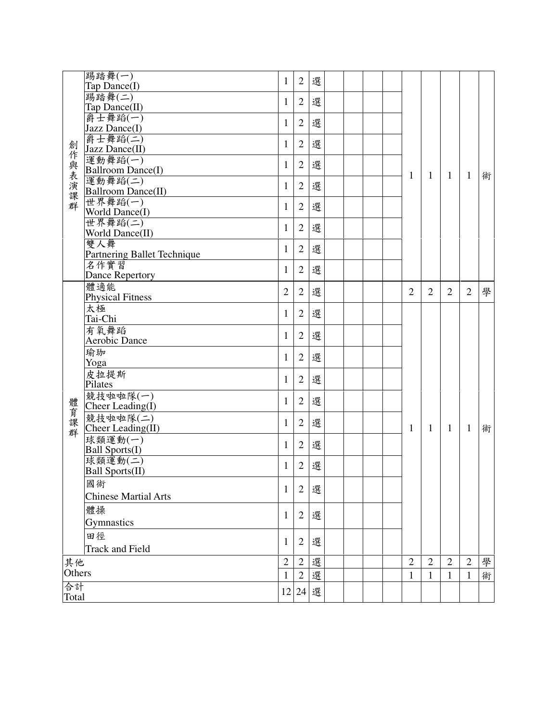|              | 踢踏舞(一)<br>Tap Dance(I)           | 1              | $\overline{2}$ | 選 |  |  |                |                |                |                |   |
|--------------|----------------------------------|----------------|----------------|---|--|--|----------------|----------------|----------------|----------------|---|
|              | 踢踏舞(二)                           | 1              | $\sqrt{2}$     | 選 |  |  |                |                |                |                |   |
|              | Tap Dance(II)<br>爵士舞蹈(一)         |                |                |   |  |  |                |                |                |                |   |
|              | Jazz Dance(I)                    | 1              | $\sqrt{2}$     | 選 |  |  |                |                |                |                |   |
| 創            | 爵士舞蹈(二)<br>Jazz Dance(II)        | 1              | $\overline{2}$ | 選 |  |  |                |                |                |                |   |
| 作與表演課群       | 運動舞蹈(一)                          |                |                |   |  |  |                |                |                |                |   |
|              | <b>Ballroom Dance(I)</b>         | 1              | $\overline{2}$ | 選 |  |  | 1              | 1              | 1              | 1              |   |
|              | 運動舞蹈(二)                          | 1              | $\overline{2}$ | 選 |  |  |                |                |                |                | 術 |
|              | <b>Ballroom Dance(II)</b>        |                |                |   |  |  |                |                |                |                |   |
|              | 世界舞蹈(一)                          | 1              | $\overline{2}$ | 選 |  |  |                |                |                |                |   |
|              | World Dance(I)<br>世界舞蹈(二)        |                |                |   |  |  |                |                |                |                |   |
|              | World Dance(II)                  | 1              | $\mathbf{2}$   | 選 |  |  |                |                |                |                |   |
|              | 雙人舞                              |                |                |   |  |  |                |                |                |                |   |
|              | Partnering Ballet Technique      | 1              | $\overline{2}$ | 選 |  |  |                |                |                |                |   |
|              | 名作實習                             | 1              | $\overline{2}$ | 選 |  |  |                |                |                |                |   |
|              | Dance Repertory                  |                |                |   |  |  |                |                |                |                |   |
|              | 體適能                              | $\overline{2}$ | $\overline{2}$ | 選 |  |  | $\overline{2}$ | $\overline{2}$ | $\overline{2}$ | $\overline{2}$ | 學 |
|              | <b>Physical Fitness</b>          |                |                |   |  |  |                |                |                |                |   |
|              | 太極<br>Tai-Chi                    | 1              | $\overline{2}$ | 選 |  |  |                |                |                |                |   |
|              | 有氧舞蹈                             |                |                |   |  |  |                |                |                |                |   |
|              | Aerobic Dance                    | 1              | $\overline{2}$ | 選 |  |  |                |                |                |                |   |
|              | 瑜珈                               |                |                |   |  |  |                |                |                |                |   |
|              | Yoga                             | 1              | $\overline{2}$ | 選 |  |  |                |                |                |                |   |
|              | 皮拉提斯                             |                | $\overline{2}$ | 選 |  |  |                |                |                |                |   |
|              | Pilates                          | 1              |                |   |  |  |                |                |                |                |   |
|              | 競技啦啦隊(一)                         | 1              | $\overline{2}$ | 選 |  |  |                |                |                |                |   |
| 體育課群         | Cheer Leading(I)                 |                |                |   |  |  |                |                |                |                |   |
|              | 競技啦啦隊(二)                         | 1              | $\overline{2}$ | 選 |  |  |                |                |                |                |   |
|              | Cheer Leading(II)                |                |                |   |  |  | 1              | $\mathbf{1}$   | 1              | $\mathbf{1}$   | 術 |
|              | 球類運動(一)<br><b>Ball Sports(I)</b> | 1              | $\overline{2}$ | 選 |  |  |                |                |                |                |   |
|              | 球類運動(二)                          |                |                |   |  |  |                |                |                |                |   |
|              | Ball Sports(II)                  | 1              | $\overline{2}$ | 選 |  |  |                |                |                |                |   |
|              | 國術                               |                |                |   |  |  |                |                |                |                |   |
|              | <b>Chinese Martial Arts</b>      | 1              | $\mathbf{2}$   | 選 |  |  |                |                |                |                |   |
|              | 體操                               |                |                |   |  |  |                |                |                |                |   |
|              | Gymnastics                       | 1              | $\overline{2}$ | 選 |  |  |                |                |                |                |   |
|              | 田徑                               |                |                |   |  |  |                |                |                |                |   |
|              | <b>Track and Field</b>           | 1              | $\mathbf{2}$   | 選 |  |  |                |                |                |                |   |
|              |                                  |                |                |   |  |  |                |                |                |                |   |
| 其他<br>Others |                                  | $\overline{2}$ | $\sqrt{2}$     | 選 |  |  | $\mathbf{2}$   | $\overline{2}$ | $\mathbf{2}$   | $\overline{2}$ | 學 |
|              |                                  | $\mathbf{1}$   | $\overline{2}$ | 選 |  |  | $\mathbf{1}$   | $\mathbf{1}$   | 1              | $\mathbf{1}$   | 術 |
| 合計           |                                  | 12             | 24             | 選 |  |  |                |                |                |                |   |
| Total        |                                  |                |                |   |  |  |                |                |                |                |   |